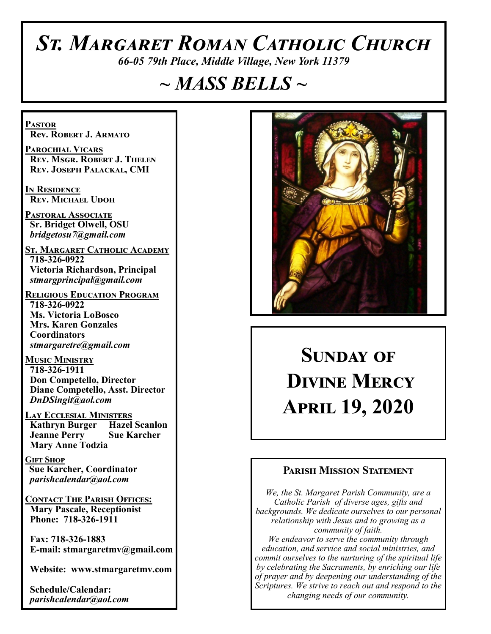# *St. Margaret Roman Catholic Church*

*66-05 79th Place, Middle Village, New York 11379*

# *~ MASS BELLS ~*

**Pastor Rev. Robert J. Armato**

**Parochial Vicars Rev. Msgr. Robert J. Thelen Rev. Joseph Palackal, CMI**

**In Residence Rev. Michael Udoh**

**Pastoral Associate Sr. Bridget Olwell, OSU**  *bridgetosu7@gmail.com*

**St. Margaret Catholic Academy 718-326-0922 Victoria Richardson, Principal**  *stmargprincipal@gmail.com*

**Religious Education Program 718-326-0922 Ms. Victoria LoBosco Mrs. Karen Gonzales Coordinators** *stmargaretre@gmail.com*

**Music Ministry 718-326-1911 Don Competello, Director Diane Competello, Asst. Director** *DnDSingit@aol.com*

**Lay Ecclesial Ministers Kathryn Burger Hazel Scanlon**<br>**Jeanne Perry Sue Karcher Jeanne Perry Mary Anne Todzia**

**Gift Shop Sue Karcher, Coordinator** *parishcalendar@aol.com*

**Contact The Parish Offices: Mary Pascale, Receptionist Phone: 718-326-1911** 

 **Fax: 718-326-1883 E-mail: stmargaretmv@gmail.com**

 **Website: www.stmargaretmv.com**

 **Schedule/Calendar:** *parishcalendar@aol.com* 



# **Sunday of Divine Mercy April 19, 2020**

### **Parish Mission Statement**

*We, the St. Margaret Parish Community, are a Catholic Parish of diverse ages, gifts and backgrounds. We dedicate ourselves to our personal relationship with Jesus and to growing as a community of faith. We endeavor to serve the community through education, and service and social ministries, and commit ourselves to the nurturing of the spiritual life by celebrating the Sacraments, by enriching our life of prayer and by deepening our understanding of the Scriptures. We strive to reach out and respond to the changing needs of our community.*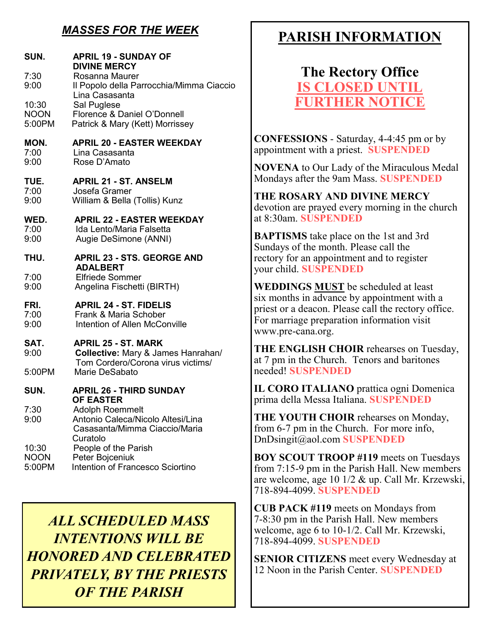## *MASSES FOR THE WEEK*

| SUN.<br>7:30<br>9:00<br>10:30<br><b>NOON</b><br>5:00PM | <b>APRIL 19 - SUNDAY OF</b><br><b>DIVINE MERCY</b><br>Rosanna Maurer<br>Il Popolo della Parrocchia/Mimma Ciaccio<br>Lina Casasanta<br>Sal Puglese<br>Florence & Daniel O'Donnell<br>Patrick & Mary (Kett) Morrissey |
|--------------------------------------------------------|---------------------------------------------------------------------------------------------------------------------------------------------------------------------------------------------------------------------|
| MON.                                                   | <b>APRIL 20 - EASTER WEEKDAY</b>                                                                                                                                                                                    |
| 7:00                                                   | Lina Casasanta                                                                                                                                                                                                      |
| 9:00                                                   | Rose D'Amato                                                                                                                                                                                                        |
| TUE.                                                   | <b>APRIL 21 - ST. ANSELM</b>                                                                                                                                                                                        |
| 7:00                                                   | Josefa Gramer                                                                                                                                                                                                       |
| 9:00                                                   | William & Bella (Tollis) Kunz                                                                                                                                                                                       |
| WED.                                                   | <b>APRIL 22 - EASTER WEEKDAY</b>                                                                                                                                                                                    |
| 7:00                                                   | Ida Lento/Maria Falsetta                                                                                                                                                                                            |
| 9:00                                                   | Augie DeSimone (ANNI)                                                                                                                                                                                               |
| THU.<br>7:00<br>9:00                                   | <b>APRIL 23 - STS. GEORGE AND</b><br><b>ADALBERT</b><br><b>Elfriede Sommer</b><br>Angelina Fischetti (BIRTH)                                                                                                        |
| FRI.                                                   | <b>APRIL 24 - ST. FIDELIS</b>                                                                                                                                                                                       |
| 7:00                                                   | Frank & Maria Schober                                                                                                                                                                                               |
| 9:00                                                   | Intention of Allen McConville                                                                                                                                                                                       |
| SAT.<br>9:00<br>5:00PM                                 | <b>APRIL 25 - ST. MARK</b><br>Collective: Mary & James Hanrahan/<br>Tom Cordero/Corona virus victims/<br>Marie DeSabato                                                                                             |
| SUN.                                                   | <b>APRIL 26 - THIRD SUNDAY</b>                                                                                                                                                                                      |
| 7:30<br>9:00                                           | <b>OF EASTER</b><br><b>Adolph Roemmelt</b><br>Antonio Caleca/Nicolo Altesi/Lina<br>Casasanta/Mimma Ciaccio/Maria<br>Curatolo                                                                                        |
| 10:30                                                  | People of the Parish                                                                                                                                                                                                |
| <b>NOON</b>                                            | Peter Bojceniuk                                                                                                                                                                                                     |
| 5:00PM                                                 | Intention of Francesco Sciortino                                                                                                                                                                                    |

*ALL SCHEDULED MASS INTENTIONS WILL BE HONORED AND CELEBRATED PRIVATELY, BY THE PRIESTS OF THE PARISH*

# **PARISH INFORMATION**

**The Rectory Office IS CLOSED UNT FURTHER NOTICE**

**CONFESSIONS** - Saturday, 4-4:45 pm or by appointment with a priest. **SUSPENDED**

**NOVENA** to Our Lady of the Miraculous Medal Mondays after the 9am Mass. **SUSPENDED**

**THE ROSARY AND DIVINE MERCY** devotion are prayed every morning in the church at 8:30am. **SUSPENDED**

**BAPTISMS** take place on the 1st and 3rd Sundays of the month. Please call the rectory for an appointment and to register your child. **SUSPENDED**

**WEDDINGS MUST** be scheduled at least six months in advance by appointment with a priest or a deacon. Please call the rectory office. For marriage preparation information visit www.pre-cana.org.

**THE ENGLISH CHOIR** rehearses on Tuesday, at 7 pm in the Church. Tenors and baritones needed! **SUSPENDED**

**IL CORO ITALIANO** prattica ogni Domenica prima della Messa Italiana. **SUSPENDED**

**THE YOUTH CHOIR** rehearses on Monday, from 6-7 pm in the Church. For more info, DnDsingit@aol.com **SUSPENDED**

**BOY SCOUT TROOP #119** meets on Tuesdays from 7:15-9 pm in the Parish Hall. New members are welcome, age 10 1/2 & up. Call Mr. Krzewski, 718-894-4099. **SUSPENDED**

**CUB PACK #119** meets on Mondays from 7-8:30 pm in the Parish Hall. New members welcome, age 6 to 10-1/2. Call Mr. Krzewski, 718-894-4099. **SUSPENDED**

**SENIOR CITIZENS** meet every Wednesday at 12 Noon in the Parish Center. **SUSPENDED**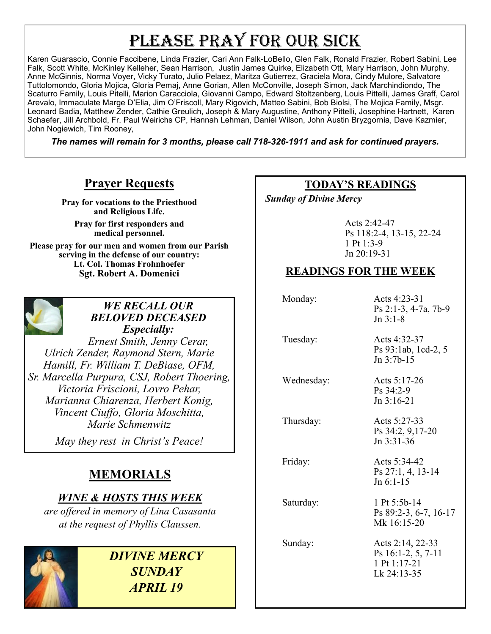# PLEASE PRAY FOR OUR SICK

Karen Guarascio, Connie Faccibene, Linda Frazier, Cari Ann Falk-LoBello, Glen Falk, Ronald Frazier, Robert Sabini, Lee Falk, Scott White, McKinley Kelleher, Sean Harrison, Justin James Quirke, Elizabeth Ott, Mary Harrison, John Murphy, Anne McGinnis, Norma Voyer, Vicky Turato, Julio Pelaez, Maritza Gutierrez, Graciela Mora, Cindy Mulore, Salvatore Tuttolomondo, Gloria Mojica, Gloria Pemaj, Anne Gorian, Allen McConville, Joseph Simon, Jack Marchindiondo, The Scaturro Family, Louis Pitelli, Marion Caracciola, Giovanni Campo, Edward Stoltzenberg, Louis Pittelli, James Graff, Carol Arevalo, Immaculate Marge D'Elia, Jim O'Friscoll, Mary Rigovich, Matteo Sabini, Bob Biolsi, The Mojica Family, Msgr. Leonard Badia, Matthew Zender, Cathie Greulich, Joseph & Mary Augustine, Anthony Pittelli, Josephine Hartnett, Karen Schaefer, Jill Archbold, Fr. Paul Weirichs CP, Hannah Lehman, Daniel Wilson, John Austin Bryzgornia, Dave Kazmier, John Nogiewich, Tim Rooney,

*The names will remain for 3 months, please call 718-326-1911 and ask for continued prayers.*

## **Prayer Requests**

**Pray for vocations to the Priesthood and Religious Life. Pray for first responders and medical personnel. Please pray for our men and women from our Parish serving in the defense of our country: Lt. Col. Thomas Frohnhoefer Sgt. Robert A. Domenici** 



#### *WE RECALL OUR BELOVED DECEASED Especially:*

*Ernest Smith, Jenny Cerar, Ulrich Zender, Raymond Stern, Marie Hamill, Fr. William T. DeBiase, OFM, Sr. Marcella Purpura, CSJ, Robert Thoering, Victoria Friscioni, Lovro Pehar, Marianna Chiarenza, Herbert Konig, Vincent Ciuffo, Gloria Moschitta, Marie Schmenwitz*

*May they rest in Christ's Peace!*

# **MEMORIALS**

## *WINE & HOSTS THIS WEEK*

*are offered in memory of Lina Casasanta at the request of Phyllis Claussen.* 



*DIVINE MERCY SUNDAY APRIL 19*

## **TODAY'S READINGS**

 *Sunday of Divine Mercy* 

Acts 2:42-47 Ps 118:2-4, 13-15, 22-24 1 Pt 1:3-9 Jn 20:19-31

## **READINGS FOR THE WEEK**

Monday: Acts 4:23-31 Ps 2:1-3, 4-7a, 7b-9 Jn 3:1-8

Tuesday: Acts 4:32-37 Ps 93:1ab, 1cd-2, 5 Jn 3:7b-15

Wednesday: Acts 5:17-26

Ps 34:2-9 Jn 3:16-21

 Thursday: Acts 5:27-33 Ps 34:2, 9,17-20 Jn 3:31-36

Friday: Acts 5:34-42

Jn 6:1-15 Saturday: 1 Pt 5:5b-14 Ps 89:2-3, 6-7, 16-17 Mk 16:15-20

Ps 27:1, 4, 13-14

 Sunday: Acts 2:14, 22-33 Ps 16:1-2, 5, 7-11 1 Pt 1:17-21 Lk 24:13-35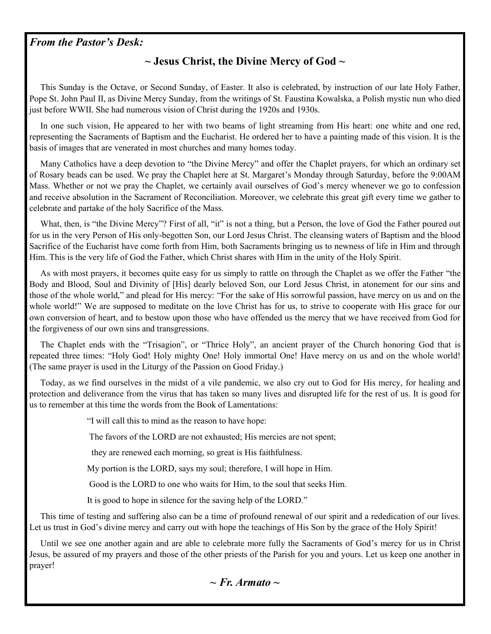#### *From the Pastor's Desk:*

#### **~ Jesus Christ, the Divine Mercy of God ~**

 This Sunday is the Octave, or Second Sunday, of Easter. It also is celebrated, by instruction of our late Holy Father, Pope St. John Paul II, as Divine Mercy Sunday, from the writings of St. Faustina Kowalska, a Polish mystic nun who died just before WWII. She had numerous vision of Christ during the 1920s and 1930s.

 In one such vision, He appeared to her with two beams of light streaming from His heart: one white and one red, representing the Sacraments of Baptism and the Eucharist. He ordered her to have a painting made of this vision. It is the basis of images that are venerated in most churches and many homes today.

 Many Catholics have a deep devotion to "the Divine Mercy" and offer the Chaplet prayers, for which an ordinary set of Rosary beads can be used. We pray the Chaplet here at St. Margaret's Monday through Saturday, before the 9:00AM Mass. Whether or not we pray the Chaplet, we certainly avail ourselves of God's mercy whenever we go to confession and receive absolution in the Sacrament of Reconciliation. Moreover, we celebrate this great gift every time we gather to celebrate and partake of the holy Sacrifice of the Mass.

What, then, is "the Divine Mercy"? First of all, "it" is not a thing, but a Person, the love of God the Father poured out for us in the very Person of His only-begotten Son, our Lord Jesus Christ. The cleansing waters of Baptism and the blood Sacrifice of the Eucharist have come forth from Him, both Sacraments bringing us to newness of life in Him and through Him. This is the very life of God the Father, which Christ shares with Him in the unity of the Holy Spirit.

 As with most prayers, it becomes quite easy for us simply to rattle on through the Chaplet as we offer the Father "the Body and Blood, Soul and Divinity of [His] dearly beloved Son, our Lord Jesus Christ, in atonement for our sins and those of the whole world," and plead for His mercy: "For the sake of His sorrowful passion, have mercy on us and on the whole world!" We are supposed to meditate on the love Christ has for us, to strive to cooperate with His grace for our own conversion of heart, and to bestow upon those who have offended us the mercy that we have received from God for the forgiveness of our own sins and transgressions.

 The Chaplet ends with the "Trisagion", or "Thrice Holy", an ancient prayer of the Church honoring God that is repeated three times: "Holy God! Holy mighty One! Holy immortal One! Have mercy on us and on the whole world! (The same prayer is used in the Liturgy of the Passion on Good Friday.)

 Today, as we find ourselves in the midst of a vile pandemic, we also cry out to God for His mercy, for healing and protection and deliverance from the virus that has taken so many lives and disrupted life for the rest of us. It is good for us to remember at this time the words from the Book of Lamentations:

"I will call this to mind as the reason to have hope:

The favors of the LORD are not exhausted; His mercies are not spent;

they are renewed each morning, so great is His faithfulness.

My portion is the LORD, says my soul; therefore, I will hope in Him.

Good is the LORD to one who waits for Him, to the soul that seeks Him.

It is good to hope in silence for the saving help of the LORD."

 This time of testing and suffering also can be a time of profound renewal of our spirit and a rededication of our lives. Let us trust in God's divine mercy and carry out with hope the teachings of His Son by the grace of the Holy Spirit!

 Until we see one another again and are able to celebrate more fully the Sacraments of God's mercy for us in Christ Jesus, be assured of my prayers and those of the other priests of the Parish for you and yours. Let us keep one another in prayer!

*~ Fr. Armato ~*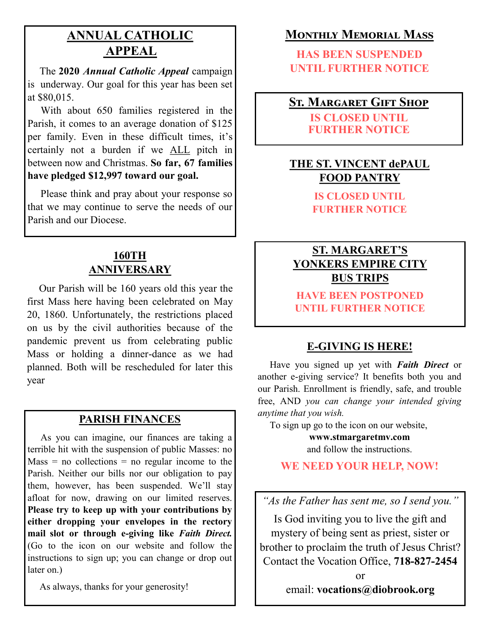## **ANNUAL CATHOLIC APPEAL**

 The **2020** *Annual Catholic Appeal* campaign is underway. Our goal for this year has been set at \$80,015.

 With about 650 families registered in the Parish, it comes to an average donation of \$125 per family. Even in these difficult times, it's certainly not a burden if we ALL pitch in between now and Christmas. **So far, 67 families have pledged \$12,997 toward our goal.**

 Please think and pray about your response so that we may continue to serve the needs of our Parish and our Diocese.

## **160TH ANNIVERSARY**

 Our Parish will be 160 years old this year the first Mass here having been celebrated on May 20, 1860. Unfortunately, the restrictions placed on us by the civil authorities because of the pandemic prevent us from celebrating public Mass or holding a dinner-dance as we had planned. Both will be rescheduled for later this year

#### **PARISH FINANCES**

 As you can imagine, our finances are taking a terrible hit with the suspension of public Masses: no  $Mass = no$  collections = no regular income to the Parish. Neither our bills nor our obligation to pay them, however, has been suspended. We'll stay afloat for now, drawing on our limited reserves. **Please try to keep up with your contributions by either dropping your envelopes in the rectory mail slot or through e-giving like** *Faith Direct.*  (Go to the icon on our website and follow the instructions to sign up; you can change or drop out later on.)

As always, thanks for your generosity!

## **Monthly Memorial Mass**

**HAS BEEN SUSPENDED UNTIL FURTHER NOTICE**

## **St. Margaret Gift Shop**

**IS CLOSED UNTIL FURTHER NOTICE**

## **THE ST. VINCENT dePAUL FOOD PANTRY**

**IS CLOSED UNTIL FURTHER NOTICE**

## **ST. MARGARET'S YONKERS EMPIRE CITY BUS TRIPS**

**HAVE BEEN POSTPONED UNTIL FURTHER NOTICE**

## **E-GIVING IS HERE!**

 Have you signed up yet with *Faith Direct* or another e-giving service? It benefits both you and our Parish. Enrollment is friendly, safe, and trouble free, AND *you can change your intended giving anytime that you wish.*

To sign up go to the icon on our website,

**www.stmargaretmv.com** and follow the instructions.

### **WE NEED YOUR HELP, NOW!**

*"As the Father has sent me, so I send you."*

Is God inviting you to live the gift and mystery of being sent as priest, sister or brother to proclaim the truth of Jesus Christ? Contact the Vocation Office, **718-827-2454** 

> or email: **vocations@diobrook.org**